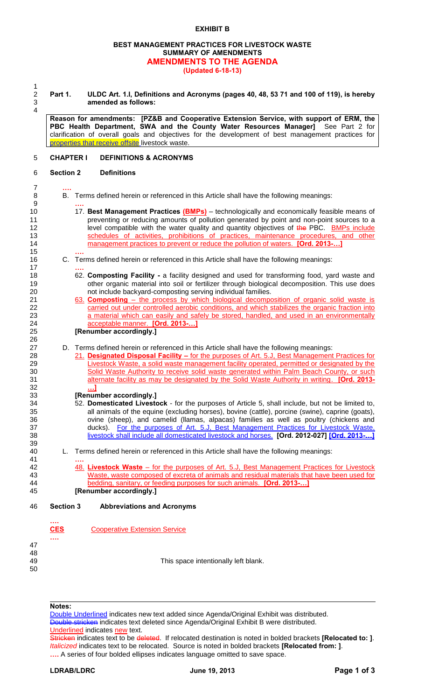#### **BEST MANAGEMENT PRACTICES FOR LIVESTOCK WASTE SUMMARY OF AMENDMENTS AMENDMENTS TO THE AGENDA (Updated 6-18-13)**

 $\frac{1}{2}$ 

2 **Part 1. ULDC Art. 1.I, Definitions and Acronyms (pages 40, 48, 53 71 and 100 of 119), is hereby**  3 **amended as follows:**

4

15 **….**

17 **….**

26

32 **…]**

39

41 **….**

**Reason for amendments: [PZ&B and Cooperative Extension Service, with support of ERM, the PBC Health Department, SWA and the County Water Resources Manager]** See Part 2 for clarification of overall goals and objectives for the development of best management practices for

# 5 **CHAPTER I DEFINITIONS & ACRONYMS**

properties that receive offsite livestock waste.

# 6 **Section 2 Definitions**

- 7 **….** 8 B. Terms defined herein or referenced in this Article shall have the following meanings:
- 9 **….** 10 17. **Best Management Practices (BMPs)** – technologically and economically feasible means of 11 **preventing or reducing amounts of pollution generated by point and non-point sources to a** 12 level compatible with the water quality and quantity objectives of the PBC. **BMPs include** 13 schedules of activities, prohibitions of practices, maintenance procedures, and other 14 management practices to prevent or reduce the pollution of waters. **[Ord. 2013-…]**
- 16 C. Terms defined herein or referenced in this Article shall have the following meanings:
- 18 62. **Composting Facility -** a facility designed and used for transforming food, yard waste and 19 other organic material into soil or fertilizer through biological decomposition. This use does 20 not include backyard-composting serving individual families.
- 21 63. **Composting** the process by which biological decomposition of organic solid waste is carried out under controlled aerobic conditions, and which stabilizes the organic fraction into carried out under controlled aerobic conditions, and which stabilizes the organic fraction into 23 a material which can easily and safely be stored, handled, and used in an environmentally 24 acceptable manner. **[Ord. 2013-…]**
	- 25 **[Renumber accordingly.]**
- 27 D. Terms defined herein or referenced in this Article shall have the following meanings:
- 28 21. **Designated Disposal Facility –** for the purposes of Art. 5.J, Best Management Practices for 29 Livestock Waste, a solid waste management facility operated, permitted or designated by the<br>20 Solid Waste Authority to receive solid waste generated within Palm Beach County, or such Solid Waste Authority to receive solid waste generated within Palm Beach County, or such 31 alternate facility as may be designated by the Solid Waste Authority in writing. **[Ord. 2013-**

# 33 **[Renumber accordingly.]**

- 34 52. **Domesticated Livestock** for the purposes of Article 5, shall include, but not be limited to, 35 all animals of the equine (excluding horses), bovine (cattle), porcine (swine), caprine (goats), 36 ovine (sheep), and camelid (llamas, alpacas) families as well as poultry (chickens and 37 ducks). For the purposes of Art. 5.J, Best Management Practices for Livestock Waste, 38 livestock shall include all domesticated livestock and horses. **[Ord. 2012-027] [Ord. 2013-…]**
- 40 L. Terms defined herein or referenced in this Article shall have the following meanings:
- 42 48. **Livestock Waste** for the purposes of Art. 5.J, Best Management Practices for Livestock 43 Waste, waste composed of excreta of animals and residual materials that have been used for 44 bedding, sanitary, or feeding purposes for such animals. **[Ord. 2013-…]** 45 **[Renumber accordingly.]**

#### 46 **Section 3 Abbreviations and Acronyms**

- **…. CES** Cooperative Extension Service
- 47 48
- 50

49 This space intentionally left blank.

**Notes:**

**….**

Double Underlined indicates new text added since Agenda/Original Exhibit was distributed. Double stricken indicates text deleted since Agenda/Original Exhibit B were distributed. Underlined indicates new text.

Stricken indicates text to be deleted. If relocated destination is noted in bolded brackets **[Relocated to: ]**. *Italicized* indicates text to be relocated. Source is noted in bolded brackets **[Relocated from: ]**. **….** A series of four bolded ellipses indicates language omitted to save space.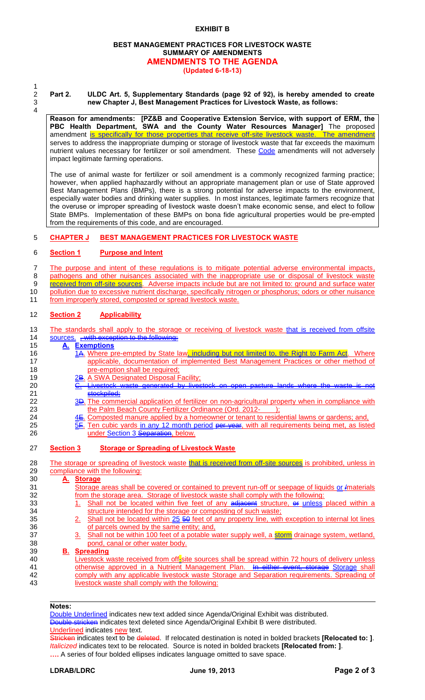#### **BEST MANAGEMENT PRACTICES FOR LIVESTOCK WASTE SUMMARY OF AMENDMENTS AMENDMENTS TO THE AGENDA (Updated 6-18-13)**

1 4

#### 2 **Part 2. ULDC Art. 5, Supplementary Standards (page 92 of 92), is hereby amended to create**  3 **new Chapter J, Best Management Practices for Livestock Waste, as follows:**

**Reason for amendments: [PZ&B and Cooperative Extension Service, with support of ERM, the PBC Health Department, SWA and the County Water Resources Manager]** The proposed amendment is specifically for those properties that receive off-site livestock waste. The amendment serves to address the inappropriate dumping or storage of livestock waste that far exceeds the maximum nutrient values necessary for fertilizer or soil amendment. These Code amendments will not adversely impact legitimate farming operations.

The use of animal waste for fertilizer or soil amendment is a commonly recognized farming practice; however, when applied haphazardly without an appropriate management plan or use of State approved Best Management Plans (BMPs), there is a strong potential for adverse impacts to the environment, especially water bodies and drinking water supplies. In most instances, legitimate farmers recognize that the overuse or improper spreading of livestock waste doesn't make economic sense, and elect to follow State BMPs. Implementation of these BMPs on bona fide agricultural properties would be pre-empted from the requirements of this code, and are encouraged.

# 5 **CHAPTER J BEST MANAGEMENT PRACTICES FOR LIVESTOCK WASTE**

#### 6 **Section 1 Purpose and Intent**

7 The purpose and intent of these regulations is to mitigate potential adverse environmental impacts, 8 pathogens and other nuisances associated with the inappropriate use or disposal of livestock waste

9 **received from off-site sources**. Adverse impacts include but are not limited to: ground and surface water 10 pollution due to excessive nutrient discharge, specifically nitrogen or phosphorus; odors or other nuisance

11 from improperly stored, composted or spread livestock waste.

#### 12 **Section 2 Applicability**

13 The standards shall apply to the storage or receiving of livestock waste that is received from offsite 14 sources. with exception to the following:

## 15 **A. Exemptions**

- 16 16 14. Where pre-empted by State law, including but not limited to, the Right to Farm Act. Where 17 **applicable, documentation of implemented Best Management Practices or other method of** 18 **pre-emption shall be required;**
- 19 2B. A SWA Designated Disposal Facility;
- 20 **C. Livestock waste generated by livestock on open pasture lands where the waste** 21 **stockpiled;**<br>22 3<del>D</del>. The comm
- 3D. The commercial application of fertilizer on non-agricultural property when in compliance with 23 the Palm Beach County Fertilizer Ordinance (Ord. 2012-
- 24 4E. Composted manure applied by a homeowner or tenant to residential lawns or gardens; and,<br>25 5F. Ten cubic vards in any 12 month period <del>per year</del>, with all requirements being met, as liste
- Ten cubic yards in any 12 month period per year, with all requirements being met, as listed 26 **under Section 3** Separation, below.

#### 27 **Section 3 Storage or Spreading of Livestock Waste**

28 The storage or spreading of livestock waste that is received from off-site sources is prohibited, unless in 29 compliance with the following:

# 30 **A. Storage**

- Storage areas shall be covered or contained to prevent run-off or seepage of liquids or *I*materials 32 from the storage area. Storage of livestock waste shall comply with the following:
- 33 1. Shall not be located within five feet of any adjacent structure, or unless placed within a 34 structure intended for the storage or composting of such waste;
- 35 2. Shall not be located within 25 50 feet of any property line, with exception to internal lot lines 36 of parcels owned by the same entity; and,
- 37 3. Shall not be within 100 feet of a potable water supply well, a storm drainage system, wetland, 38 pond, canal or other water body.

## 39 **B. Spreading**

40 Livestock waste received from off-site sources shall be spread within 72 hours of delivery unless 41 otherwise approved in a Nutrient Management Plan. In either event, storage Storage shall 42 comply with any applicable livestock waste Storage and Separation requirements. Spreading of 43 livestock waste shall comply with the following:

#### **Notes:**

Double Underlined indicates new text added since Agenda/Original Exhibit was distributed. Double stricken indicates text deleted since Agenda/Original Exhibit B were distributed. Underlined indicates new text.

Stricken indicates text to be deleted. If relocated destination is noted in bolded brackets **[Relocated to: ]**. *Italicized* indicates text to be relocated. Source is noted in bolded brackets **[Relocated from: ]**. **….** A series of four bolded ellipses indicates language omitted to save space.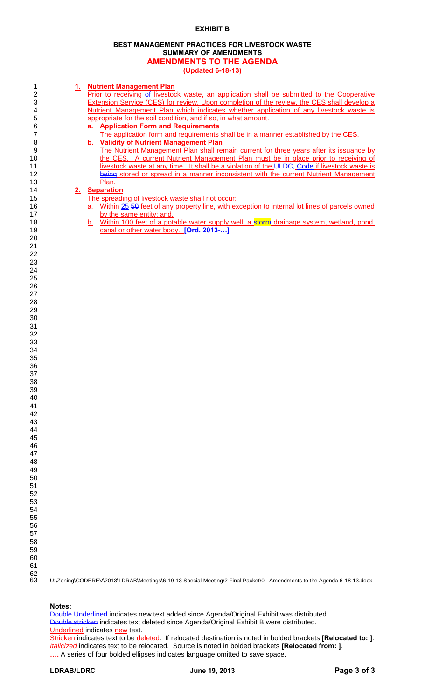# **BEST MANAGEMENT PRACTICES FOR LIVESTOCK WASTE SUMMARY OF AMENDMENTS AMENDMENTS TO THE AGENDA**

**(Updated 6-18-13)**

|                |                | (Updated 6-18-13)                                                                                    |
|----------------|----------------|------------------------------------------------------------------------------------------------------|
|                |                |                                                                                                      |
| 1              | <u>1.</u>      | <b>Nutrient Management Plan</b>                                                                      |
| $\overline{2}$ |                | Prior to receiving ef-livestock waste, an application shall be submitted to the Cooperative          |
| 3              |                | Extension Service (CES) for review. Upon completion of the review, the CES shall develop a           |
| 4              |                | Nutrient Management Plan which indicates whether application of any livestock waste is               |
| 5              |                | appropriate for the soil condition, and if so, in what amount.                                       |
| 6              |                | a. Application Form and Requirements                                                                 |
| $\overline{7}$ |                | The application form and requirements shall be in a manner established by the CES.                   |
| 8              |                | b. Validity of Nutrient Management Plan                                                              |
| 9              |                | The Nutrient Management Plan shall remain current for three years after its issuance by              |
| 10             |                | the CES. A current Nutrient Management Plan must be in place prior to receiving of                   |
| 11             |                | livestock waste at any time. It shall be a violation of the ULDC. Gode if livestock waste is         |
| 12             |                | being stored or spread in a manner inconsistent with the current Nutrient Management                 |
|                |                |                                                                                                      |
| 13             |                | Plan.                                                                                                |
| 14             | 2 <sub>1</sub> | <b>Separation</b>                                                                                    |
| 15             |                | The spreading of livestock waste shall not occur:                                                    |
| 16             |                | Within 25 50 feet of any property line, with exception to internal lot lines of parcels owned<br>a.  |
| 17             |                | by the same entity; and,                                                                             |
| 18             |                | Within 100 feet of a potable water supply well, a storm drainage system, wetland, pond,<br><u>b.</u> |
| 19             |                | canal or other water body. [Ord. 2013-]                                                              |
| 20             |                |                                                                                                      |
| 21             |                |                                                                                                      |
| 22             |                |                                                                                                      |
| 23             |                |                                                                                                      |
| 24             |                |                                                                                                      |
| 25             |                |                                                                                                      |
| 26             |                |                                                                                                      |
| 27             |                |                                                                                                      |
| 28             |                |                                                                                                      |
| 29             |                |                                                                                                      |
| 30             |                |                                                                                                      |
| 31             |                |                                                                                                      |
|                |                |                                                                                                      |
| 32             |                |                                                                                                      |
| 33             |                |                                                                                                      |
| 34             |                |                                                                                                      |
| 35             |                |                                                                                                      |
| 36             |                |                                                                                                      |
| 37             |                |                                                                                                      |
| 38             |                |                                                                                                      |
| 39             |                |                                                                                                      |
| 40             |                |                                                                                                      |
| 41             |                |                                                                                                      |
| 42             |                |                                                                                                      |
| 43             |                |                                                                                                      |
| 44             |                |                                                                                                      |
| 45             |                |                                                                                                      |
| 46             |                |                                                                                                      |
| 47             |                |                                                                                                      |
| 48             |                |                                                                                                      |
| 49             |                |                                                                                                      |
| 50             |                |                                                                                                      |
| 51             |                |                                                                                                      |
|                |                |                                                                                                      |
| 52             |                |                                                                                                      |
| 53             |                |                                                                                                      |
| 54             |                |                                                                                                      |
| 55             |                |                                                                                                      |
| 56             |                |                                                                                                      |
| 57             |                |                                                                                                      |
| 58<br>ro       |                |                                                                                                      |
|                |                |                                                                                                      |

U:\Zoning\CODEREV\2013\LDRAB\Meetings\6-19-13 Special Meeting\2 Final Packet\0 - Amendments to the Agenda 6-18-13.docx

### **Notes:**

> Double Underlined indicates new text added since Agenda/Original Exhibit was distributed. Double stricken indicates text deleted since Agenda/Original Exhibit B were distributed. Underlined indicates new text.

Stricken indicates text to be deleted. If relocated destination is noted in bolded brackets **[Relocated to: ]**. *Italicized* indicates text to be relocated. Source is noted in bolded brackets **[Relocated from: ]**. .... A series of four bolded ellipses indicates language omitted to save space.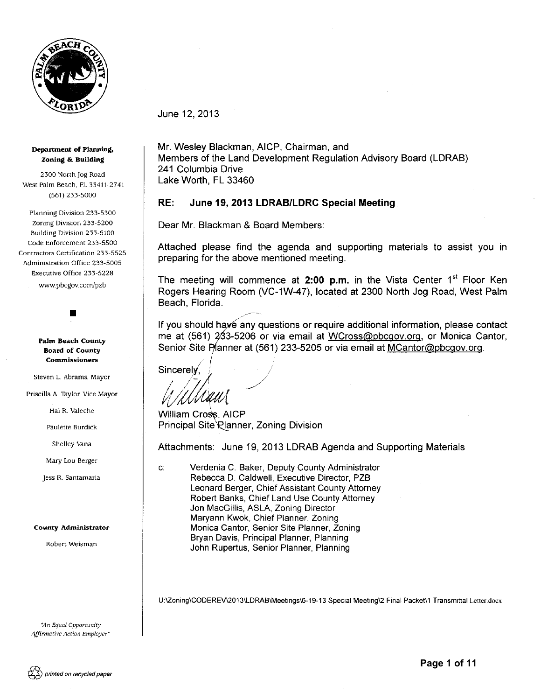

June 12, 2013

#### Department of Planning, Zoning & Building

2300 North jog Road West Palm Beach, FL 33411-2741 (561) 233-5000

Planning Division 233-5300 Zoning Division 233~5200 Building Division 233-5100 Code Enforcement 233-5500 Contractors Certification 233-5525 Administration Office 233-5005 Executive Office 233-5228 www.pbcgov.com/pzb

> Palm Beach County Board of County **Commissioners**

•

Steven L. Abrams, Mayor

Priscilla A. Taylor, Vice Mayor

Hal R. Valeche

Paulette Burdick

Shelley Vana

Mary Lou Berger

jess R. Santamaria

#### **County Administrator**

Robert Weisman

"An Equal Opportunity *Affirmative Action Employer"*  Mr. Wesley Blackman, AICP, Chairman, and Members of the Land Development Regulation Advisory Board (LDRAB) 241 Columbia Drive Lake Worth, FL 33460

#### RE: June 19, 2013 LDRAB/LDRC Special Meeting

Dear Mr. Blackman & Board Members:

Attached please find the agenda and supporting materials to assist you in preparing for the above mentioned meeting.

The meeting will commence at 2:00 p.m. in the Vista Center  $1<sup>st</sup>$  Floor Ken Rogers Hearing Room (VC-1W-47), located at 2300 North Jog Road, West Palm Beach, Florida.

If you should have any questions or require additional information, please contact me at (561) 233-5206 or via email at WCross@pbcgov.org, or Monica Cantor, Senior Site Planner at (561) 233-5205 or via email at MCantor@pbcgov.org.

 $\geq l.$ Sincerely,

William Cross, AICP

Principal Site\Planner, Zoning Division

Attachments: June 19, 2013 LDRAB Agenda and Supporting Materials

c: Verdenia C. Baker, Deputy County Administrator Rebecca D. Caldwell, Executive Director, PZB Leonard Berger, Chief Assistant County Attorney Robert Banks, Chief Land Use County Attorney Jon MacGillis, ASLA, Zoning Director Maryann Kwok, Chief Planner, Zoning Monica Cantor, Senior Site Planner, Zoning Bryan Davis, Principal Planner, Planning John Rupertus, Senior Planner, Planning

U:\Zoning\CODEREV\2013\LDRAB\Meetings\6-19-13 Special Meeting\2 Final Packet\1 Transmittal Letter.docx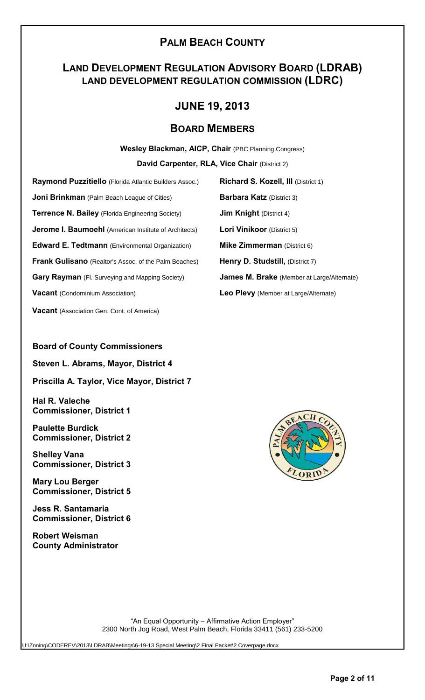# **PALM BEACH COUNTY**

# **LAND DEVELOPMENT REGULATION ADVISORY BOARD (LDRAB) LAND DEVELOPMENT REGULATION COMMISSION (LDRC)**

# **JUNE 19, 2013**

# **BOARD MEMBERS**

**Wesley Blackman, AICP, Chair** (PBC Planning Congress)

**David Carpenter, RLA, Vice Chair** (District 2)

**Raymond Puzzitiello** (Florida Atlantic Builders Assoc.) **Richard S. Kozell, III** (District 1) **Joni Brinkman** (Palm Beach League of Cities) **Barbara Katz** (District 3) **Terrence N. Bailey** (Florida Engineering Society) **Jim Knight** (District 4) **Jerome I. Baumoehl** (American Institute of Architects) **Lori Vinikoor** (District 5) **Edward E. Tedtmann** (Environmental Organization) **Mike Zimmerman** (District 6) **Frank Gulisano** (Realtor's Assoc. of the Palm Beaches) **Henry D. Studstill,** (District 7) **Gary Rayman** (Fl. Surveying and Mapping Society) **James M. Brake** (Member at Large/Alternate) **Vacant** (Condominium Association) **Leo Plevy** (Member at Large/Alternate)

**Vacant** (Association Gen. Cont. of America)

# **Board of County Commissioners**

**Steven L. Abrams, Mayor, District 4**

**Priscilla A. Taylor, Vice Mayor, District 7**

**Hal R. Valeche Commissioner, District 1**

**Paulette Burdick Commissioner, District 2**

**Shelley Vana Commissioner, District 3**

**Mary Lou Berger Commissioner, District 5**

**Jess R. Santamaria Commissioner, District 6**

**Robert Weisman County Administrator**



"An Equal Opportunity – Affirmative Action Employer" 2300 North Jog Road, West Palm Beach, Florida 33411 (561) 233-5200

U:\Zoning\CODEREV\2013\LDRAB\Meetings\6-19-13 Special Meeting\2 Final Packet\2 Coverpage.docx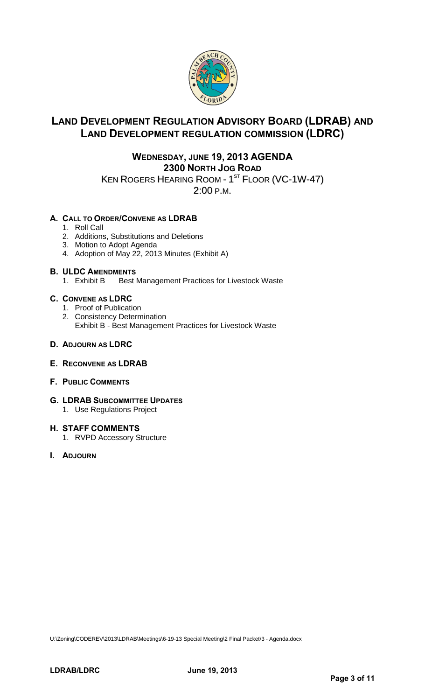

# **LAND DEVELOPMENT REGULATION ADVISORY BOARD (LDRAB) AND LAND DEVELOPMENT REGULATION COMMISSION (LDRC)**

# **WEDNESDAY, JUNE 19, 2013 AGENDA 2300 NORTH JOG ROAD** KEN ROGERS HEARING ROOM - 1 $^{\mathrm{ST}}$  Floor (VC-1W-47)

2:00 P.M.

# **A. CALL TO ORDER/CONVENE AS LDRAB**

- 1. Roll Call
- 2. Additions, Substitutions and Deletions
- 3. Motion to Adopt Agenda
- 4. Adoption of May 22, 2013 Minutes (Exhibit A)

# **B. ULDC AMENDMENTS**

1. Exhibit B Best Management Practices for Livestock Waste

# **C. CONVENE AS LDRC**

- 1. Proof of Publication
- 2. Consistency Determination Exhibit B - Best Management Practices for Livestock Waste

# **D. ADJOURN AS LDRC**

# **E. RECONVENE AS LDRAB**

- **F. PUBLIC COMMENTS**
- **G. LDRAB SUBCOMMITTEE UPDATES** 1. Use Regulations Project

# **H. STAFF COMMENTS**

- 1. RVPD Accessory Structure
- **I. ADJOURN**

U:\Zoning\CODEREV\2013\LDRAB\Meetings\6-19-13 Special Meeting\2 Final Packet\3 - Agenda.docx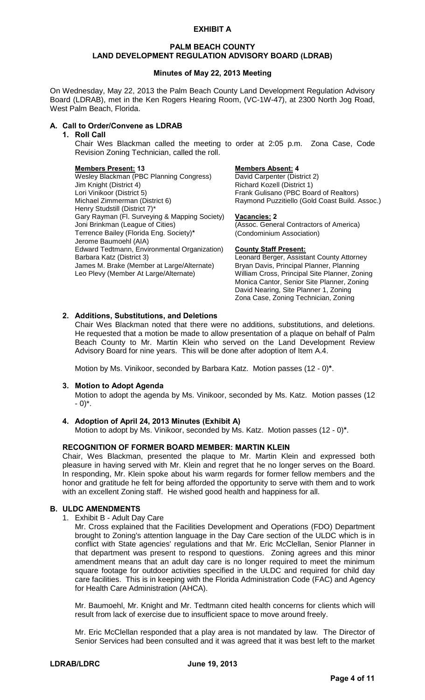#### **PALM BEACH COUNTY LAND DEVELOPMENT REGULATION ADVISORY BOARD (LDRAB)**

#### **Minutes of May 22, 2013 Meeting**

On Wednesday, May 22, 2013 the Palm Beach County Land Development Regulation Advisory Board (LDRAB), met in the Ken Rogers Hearing Room, (VC-1W-47), at 2300 North Jog Road, West Palm Beach, Florida.

## **A. Call to Order/Convene as LDRAB**

#### **1. Roll Call**

Chair Wes Blackman called the meeting to order at 2:05 p.m. Zona Case, Code Revision Zoning Technician, called the roll.

**Members Present: 13 Members Absent: 4** Wesley Blackman (PBC Planning Congress)<br>Jim Knight (District 4) Lori Vinikoor (District 5) Frank Gulisano (PBC Board of Realtors)<br>Michael Zimmerman (District 6) Frank Gulisano Puzzitiello (Gold Coast Build. Henry Studstill (District 7)\* Gary Rayman (Fl. Surveying & Mapping Society) **Vacancies: 2** Terrence Bailey (Florida Eng. Society)**\*** (Condominium Association) Jerome Baumoehl (AIA) Edward Tedtmann, Environmental Organization) **County Staff Present:** James M. Brake (Member at Large/Alternate) Bryan Davis, Principal Planner, Planning<br>Leo Plevy (Member At Large/Alternate) William Cross, Principal Site Planner, Zor

Richard Kozell (District 1) Raymond Puzzitiello (Gold Coast Build. Assoc.)

(Assoc. General Contractors of America)

Leonard Berger, Assistant County Attorney William Cross, Principal Site Planner, Zoning Monica Cantor, Senior Site Planner, Zoning David Nearing, Site Planner 1, Zoning Zona Case, Zoning Technician, Zoning

### **2. Additions, Substitutions, and Deletions**

Chair Wes Blackman noted that there were no additions, substitutions, and deletions. He requested that a motion be made to allow presentation of a plaque on behalf of Palm Beach County to Mr. Martin Klein who served on the Land Development Review Advisory Board for nine years. This will be done after adoption of Item A.4.

Motion by Ms. Vinikoor, seconded by Barbara Katz. Motion passes (12 - 0)**\***.

#### **3. Motion to Adopt Agenda**

Motion to adopt the agenda by Ms. Vinikoor, seconded by Ms. Katz. Motion passes (12  $- 0$ <sup>\*</sup>.

# **4. Adoption of April 24, 2013 Minutes (Exhibit A)**

Motion to adopt by Ms. Vinikoor, seconded by Ms. Katz. Motion passes (12 - 0)**\***.

#### **RECOGNITION OF FORMER BOARD MEMBER: MARTIN KLEIN**

Chair, Wes Blackman, presented the plaque to Mr. Martin Klein and expressed both pleasure in having served with Mr. Klein and regret that he no longer serves on the Board. In responding, Mr. Klein spoke about his warm regards for former fellow members and the honor and gratitude he felt for being afforded the opportunity to serve with them and to work with an excellent Zoning staff. He wished good health and happiness for all.

#### **B. ULDC AMENDMENTS**

1. Exhibit B - Adult Day Care

Mr. Cross explained that the Facilities Development and Operations (FDO) Department brought to Zoning's attention language in the Day Care section of the ULDC which is in conflict with State agencies' regulations and that Mr. Eric McClellan, Senior Planner in that department was present to respond to questions. Zoning agrees and this minor amendment means that an adult day care is no longer required to meet the minimum square footage for outdoor activities specified in the ULDC and required for child day care facilities. This is in keeping with the Florida Administration Code (FAC) and Agency for Health Care Administration (AHCA).

Mr. Baumoehl, Mr. Knight and Mr. Tedtmann cited health concerns for clients which will result from lack of exercise due to insufficient space to move around freely.

Mr. Eric McClellan responded that a play area is not mandated by law. The Director of Senior Services had been consulted and it was agreed that it was best left to the market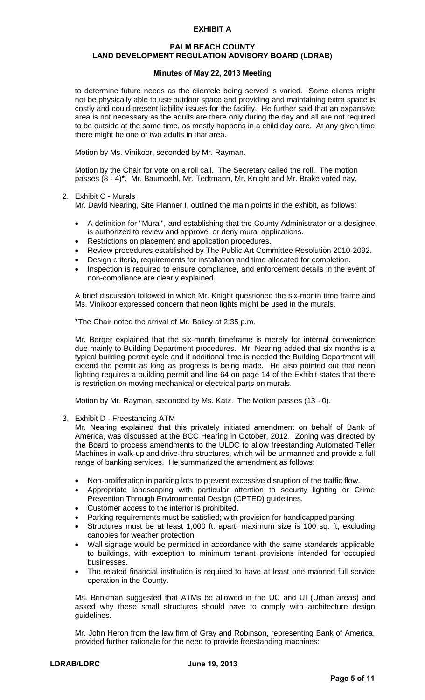#### **PALM BEACH COUNTY LAND DEVELOPMENT REGULATION ADVISORY BOARD (LDRAB)**

#### **Minutes of May 22, 2013 Meeting**

to determine future needs as the clientele being served is varied. Some clients might not be physically able to use outdoor space and providing and maintaining extra space is costly and could present liability issues for the facility. He further said that an expansive area is not necessary as the adults are there only during the day and all are not required to be outside at the same time, as mostly happens in a child day care. At any given time there might be one or two adults in that area.

Motion by Ms. Vinikoor, seconded by Mr. Rayman.

Motion by the Chair for vote on a roll call. The Secretary called the roll. The motion passes (8 - 4)**\***. Mr. Baumoehl, Mr. Tedtmann, Mr. Knight and Mr. Brake voted nay.

#### 2. Exhibit C - Murals

Mr. David Nearing, Site Planner I, outlined the main points in the exhibit, as follows:

- A definition for "Mural", and establishing that the County Administrator or a designee is authorized to review and approve, or deny mural applications.
- Restrictions on placement and application procedures.
- Review procedures established by The Public Art Committee Resolution 2010-2092.
- Design criteria, requirements for installation and time allocated for completion.
- Inspection is required to ensure compliance, and enforcement details in the event of non-compliance are clearly explained.

A brief discussion followed in which Mr. Knight questioned the six-month time frame and Ms. Vinikoor expressed concern that neon lights might be used in the murals.

**\***The Chair noted the arrival of Mr. Bailey at 2:35 p.m.

Mr. Berger explained that the six-month timeframe is merely for internal convenience due mainly to Building Department procedures. Mr. Nearing added that six months is a typical building permit cycle and if additional time is needed the Building Department will extend the permit as long as progress is being made. He also pointed out that neon lighting requires a building permit and line 64 on page 14 of the Exhibit states that there is restriction on moving mechanical or electrical parts on murals.

Motion by Mr. Rayman, seconded by Ms. Katz. The Motion passes (13 - 0).

3. Exhibit D - Freestanding ATM

Mr. Nearing explained that this privately initiated amendment on behalf of Bank of America, was discussed at the BCC Hearing in October, 2012. Zoning was directed by the Board to process amendments to the ULDC to allow freestanding Automated Teller Machines in walk-up and drive-thru structures, which will be unmanned and provide a full range of banking services. He summarized the amendment as follows:

- Non-proliferation in parking lots to prevent excessive disruption of the traffic flow.
- Appropriate landscaping with particular attention to security lighting or Crime Prevention Through Environmental Design (CPTED) guidelines.
- Customer access to the interior is prohibited.
- Parking requirements must be satisfied; with provision for handicapped parking.
- Structures must be at least 1,000 ft. apart; maximum size is 100 sq. ft, excluding canopies for weather protection.
- Wall signage would be permitted in accordance with the same standards applicable to buildings, with exception to minimum tenant provisions intended for occupied businesses.
- The related financial institution is required to have at least one manned full service operation in the County.

Ms. Brinkman suggested that ATMs be allowed in the UC and UI (Urban areas) and asked why these small structures should have to comply with architecture design guidelines.

Mr. John Heron from the law firm of Gray and Robinson, representing Bank of America, provided further rationale for the need to provide freestanding machines: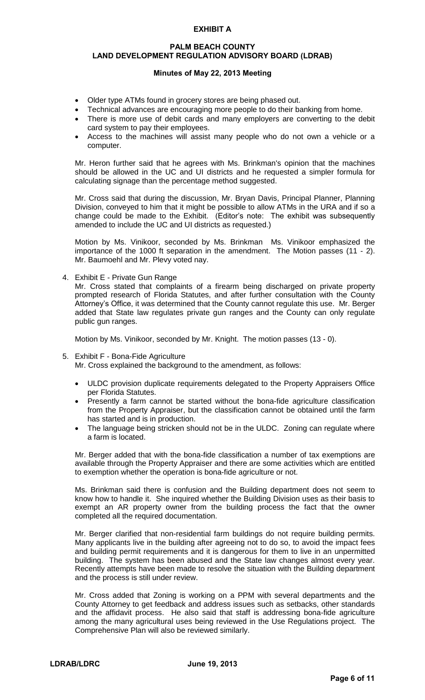#### **PALM BEACH COUNTY LAND DEVELOPMENT REGULATION ADVISORY BOARD (LDRAB)**

### **Minutes of May 22, 2013 Meeting**

- Older type ATMs found in grocery stores are being phased out.
- Technical advances are encouraging more people to do their banking from home.
- There is more use of debit cards and many employers are converting to the debit card system to pay their employees.
- Access to the machines will assist many people who do not own a vehicle or a computer.

Mr. Heron further said that he agrees with Ms. Brinkman's opinion that the machines should be allowed in the UC and UI districts and he requested a simpler formula for calculating signage than the percentage method suggested.

Mr. Cross said that during the discussion, Mr. Bryan Davis, Principal Planner, Planning Division, conveyed to him that it might be possible to allow ATMs in the URA and if so a change could be made to the Exhibit. (Editor's note: The exhibit was subsequently amended to include the UC and UI districts as requested.)

Motion by Ms. Vinikoor, seconded by Ms. Brinkman Ms. Vinikoor emphasized the importance of the 1000 ft separation in the amendment. The Motion passes (11 - 2). Mr. Baumoehl and Mr. Plevy voted nay.

4. Exhibit E - Private Gun Range

Mr. Cross stated that complaints of a firearm being discharged on private property prompted research of Florida Statutes, and after further consultation with the County Attorney's Office, it was determined that the County cannot regulate this use. Mr. Berger added that State law regulates private gun ranges and the County can only regulate public gun ranges.

Motion by Ms. Vinikoor, seconded by Mr. Knight. The motion passes (13 - 0).

5. Exhibit F - Bona-Fide Agriculture

Mr. Cross explained the background to the amendment, as follows:

- ULDC provision duplicate requirements delegated to the Property Appraisers Office per Florida Statutes.
- Presently a farm cannot be started without the bona-fide agriculture classification from the Property Appraiser, but the classification cannot be obtained until the farm has started and is in production.
- The language being stricken should not be in the ULDC. Zoning can regulate where a farm is located.

Mr. Berger added that with the bona-fide classification a number of tax exemptions are available through the Property Appraiser and there are some activities which are entitled to exemption whether the operation is bona-fide agriculture or not.

Ms. Brinkman said there is confusion and the Building department does not seem to know how to handle it. She inquired whether the Building Division uses as their basis to exempt an AR property owner from the building process the fact that the owner completed all the required documentation.

Mr. Berger clarified that non-residential farm buildings do not require building permits. Many applicants live in the building after agreeing not to do so, to avoid the impact fees and building permit requirements and it is dangerous for them to live in an unpermitted building. The system has been abused and the State law changes almost every year. Recently attempts have been made to resolve the situation with the Building department and the process is still under review.

Mr. Cross added that Zoning is working on a PPM with several departments and the County Attorney to get feedback and address issues such as setbacks, other standards and the affidavit process. He also said that staff is addressing bona-fide agriculture among the many agricultural uses being reviewed in the Use Regulations project. The Comprehensive Plan will also be reviewed similarly.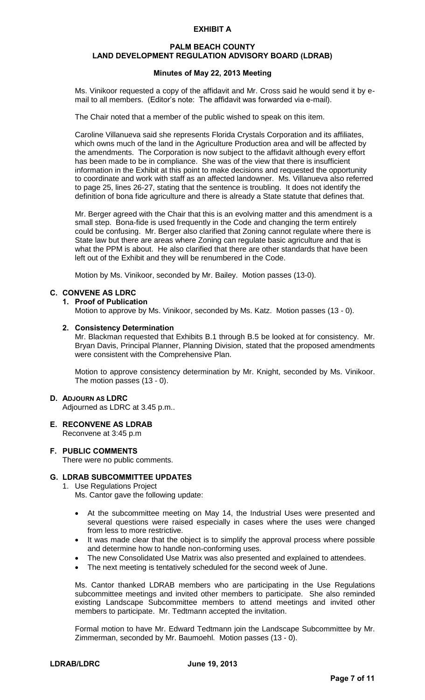#### **PALM BEACH COUNTY LAND DEVELOPMENT REGULATION ADVISORY BOARD (LDRAB)**

#### **Minutes of May 22, 2013 Meeting**

Ms. Vinikoor requested a copy of the affidavit and Mr. Cross said he would send it by email to all members. (Editor's note: The affidavit was forwarded via e-mail).

The Chair noted that a member of the public wished to speak on this item.

Caroline Villanueva said she represents Florida Crystals Corporation and its affiliates, which owns much of the land in the Agriculture Production area and will be affected by the amendments. The Corporation is now subject to the affidavit although every effort has been made to be in compliance. She was of the view that there is insufficient information in the Exhibit at this point to make decisions and requested the opportunity to coordinate and work with staff as an affected landowner. Ms. Villanueva also referred to page 25, lines 26-27, stating that the sentence is troubling. It does not identify the definition of bona fide agriculture and there is already a State statute that defines that.

Mr. Berger agreed with the Chair that this is an evolving matter and this amendment is a small step. Bona-fide is used frequently in the Code and changing the term entirely could be confusing. Mr. Berger also clarified that Zoning cannot regulate where there is State law but there are areas where Zoning can regulate basic agriculture and that is what the PPM is about. He also clarified that there are other standards that have been left out of the Exhibit and they will be renumbered in the Code.

Motion by Ms. Vinikoor, seconded by Mr. Bailey. Motion passes (13-0).

#### **C. CONVENE AS LDRC**

#### **1. Proof of Publication**

Motion to approve by Ms. Vinikoor, seconded by Ms. Katz. Motion passes (13 - 0).

#### **2. Consistency Determination**

Mr. Blackman requested that Exhibits B.1 through B.5 be looked at for consistency. Mr. Bryan Davis, Principal Planner, Planning Division, stated that the proposed amendments were consistent with the Comprehensive Plan.

Motion to approve consistency determination by Mr. Knight, seconded by Ms. Vinikoor. The motion passes (13 - 0).

#### **D. ADJOURN AS LDRC**

Adjourned as LDRC at 3.45 p.m..

- **E. RECONVENE AS LDRAB**  Reconvene at 3:45 p.m
- **F. PUBLIC COMMENTS**  There were no public comments.

## **G. LDRAB SUBCOMMITTEE UPDATES**

- 1. Use Regulations Project
	- Ms. Cantor gave the following update:
	- At the subcommittee meeting on May 14, the Industrial Uses were presented and several questions were raised especially in cases where the uses were changed from less to more restrictive.
	- It was made clear that the object is to simplify the approval process where possible and determine how to handle non-conforming uses.
	- The new Consolidated Use Matrix was also presented and explained to attendees.
	- The next meeting is tentatively scheduled for the second week of June.

Ms. Cantor thanked LDRAB members who are participating in the Use Regulations subcommittee meetings and invited other members to participate. She also reminded existing Landscape Subcommittee members to attend meetings and invited other members to participate. Mr. Tedtmann accepted the invitation.

Formal motion to have Mr. Edward Tedtmann join the Landscape Subcommittee by Mr. Zimmerman, seconded by Mr. Baumoehl. Motion passes (13 - 0).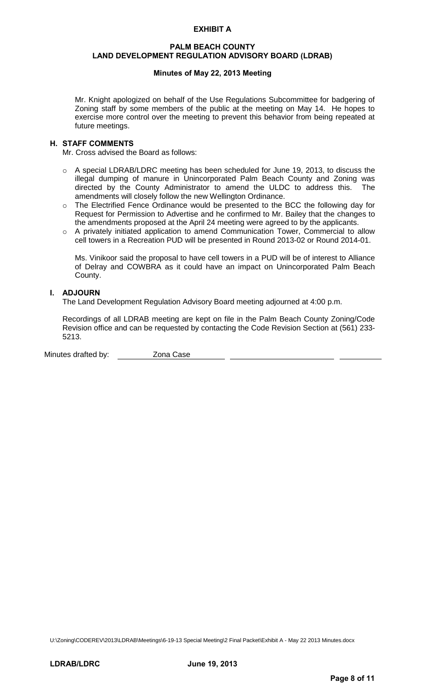#### **PALM BEACH COUNTY LAND DEVELOPMENT REGULATION ADVISORY BOARD (LDRAB)**

### **Minutes of May 22, 2013 Meeting**

Mr. Knight apologized on behalf of the Use Regulations Subcommittee for badgering of Zoning staff by some members of the public at the meeting on May 14. He hopes to exercise more control over the meeting to prevent this behavior from being repeated at future meetings.

#### **H. STAFF COMMENTS**

Mr. Cross advised the Board as follows:

- $\circ$  A special LDRAB/LDRC meeting has been scheduled for June 19, 2013, to discuss the illegal dumping of manure in Unincorporated Palm Beach County and Zoning was directed by the County Administrator to amend the ULDC to address this. The amendments will closely follow the new Wellington Ordinance.
- o The Electrified Fence Ordinance would be presented to the BCC the following day for Request for Permission to Advertise and he confirmed to Mr. Bailey that the changes to the amendments proposed at the April 24 meeting were agreed to by the applicants.
- o A privately initiated application to amend Communication Tower, Commercial to allow cell towers in a Recreation PUD will be presented in Round 2013-02 or Round 2014-01.

Ms. Vinikoor said the proposal to have cell towers in a PUD will be of interest to Alliance of Delray and COWBRA as it could have an impact on Unincorporated Palm Beach County.

## **I. ADJOURN**

The Land Development Regulation Advisory Board meeting adjourned at 4:00 p.m.

Recordings of all LDRAB meeting are kept on file in the Palm Beach County Zoning/Code Revision office and can be requested by contacting the Code Revision Section at (561) 233- 5213.

Minutes drafted by: Zona Case

U:\Zoning\CODEREV\2013\LDRAB\Meetings\6-19-13 Special Meeting\2 Final Packet\Exhibit A - May 22 2013 Minutes.docx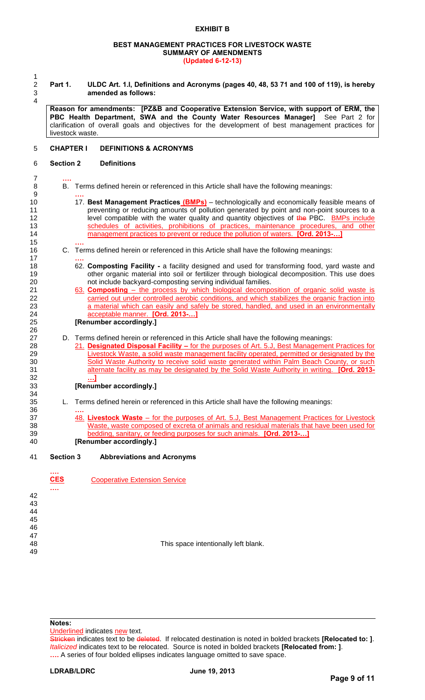#### **BEST MANAGEMENT PRACTICES FOR LIVESTOCK WASTE SUMMARY OF AMENDMENTS (Updated 6-12-13)**

 $\frac{1}{2}$ 4

15 **….**

17 **….**

26

34<br>35

36 **….**

2 **Part 1. ULDC Art. 1.I, Definitions and Acronyms (pages 40, 48, 53 71 and 100 of 119), is hereby**  3 **amended as follows:** 

**Reason for amendments: [PZ&B and Cooperative Extension Service, with support of ERM, the PBC Health Department, SWA and the County Water Resources Manager]** See Part 2 for clarification of overall goals and objectives for the development of best management practices for livestock waste.

#### 5 **CHAPTER I DEFINITIONS & ACRONYMS**

#### 6 **Section 2 Definitions**

- 7 **….** 8 B. Terms defined herein or referenced in this Article shall have the following meanings: 9 **….**
- 10 17. **Best Management Practices (BMPs)** technologically and economically feasible means of 11 1 preventing or reducing amounts of pollution generated by point and non-point sources to a 12 level compatible with the water quality and quantity objectives of the PBC. **BMPs include** 13 schedules of activities, prohibitions of practices, maintenance procedures, and other 14 management practices to prevent or reduce the pollution of waters. **[Ord. 2013-…]**
- 16 C. Terms defined herein or referenced in this Article shall have the following meanings:
- 18 62. **Composting Facility** a facility designed and used for transforming food, yard waste and 19 other organic material into soil or fertilizer through biological decomposition. This use does 20 not include backyard-composting serving individual families.
- 21 63. **Composting** the process by which biological decomposition of organic solid waste is carried out under controlled aerobic conditions, and which stabilizes the organic fraction into carried out under controlled aerobic conditions, and which stabilizes the organic fraction into 23 a material which can easily and safely be stored, handled, and used in an environmentally 24 acceptable manner. **[Ord. 2013-…]**

### 25 **[Renumber accordingly.]**

- 27 D. Terms defined herein or referenced in this Article shall have the following meanings:<br>28 21. Designated Disposal Facility for the purposes of Art. 5.J. Best Management
- 28 21. **Designated Disposal Facility –** for the purposes of Art. 5.J, Best Management Practices for 29 Livestock Waste, a solid waste management facility operated, permitted or designated by the 30 Solid Waste Authority to receive solid waste generated within Palm Beach County, or such 31 alternate facility as may be designated by the Solid Waste Authority in writing. **[Ord. 2013-** 32 **…]**

#### 33 **[Renumber accordingly.]**

- L. Terms defined herein or referenced in this Article shall have the following meanings:
- 37 48. **Livestock Waste** for the purposes of Art. 5.J, Best Management Practices for Livestock 38 Waste, waste composed of excreta of animals and residual materials that have been used for 39 bedding, sanitary, or feeding purposes for such animals. **[Ord. 2013-…]** 40 **[Renumber accordingly.]**
- 41 **Section 3 Abbreviations and Acronyms**

|                                              | <br><b>CES</b> | <b>Cooperative Extension Service</b> |
|----------------------------------------------|----------------|--------------------------------------|
| 42<br>43<br>44<br>45<br>46<br>47<br>48<br>49 |                | This space intentionally left blank. |

#### **Notes:**

Underlined indicates new text.

Stricken indicates text to be deleted. If relocated destination is noted in bolded brackets **[Relocated to: ]**. *Italicized* indicates text to be relocated. Source is noted in bolded brackets **[Relocated from: ]**. **….** A series of four bolded ellipses indicates language omitted to save space.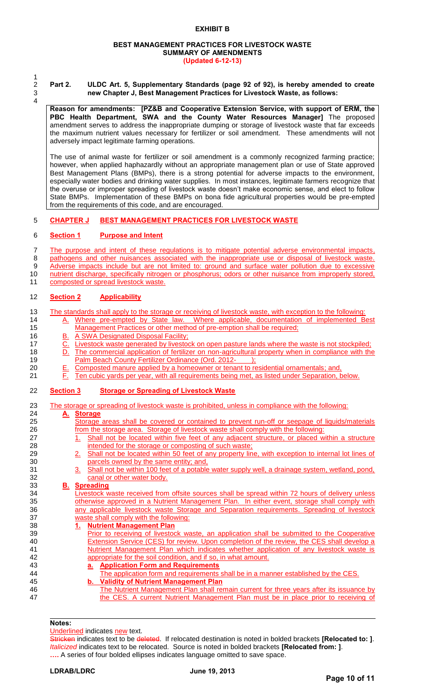#### **BEST MANAGEMENT PRACTICES FOR LIVESTOCK WASTE SUMMARY OF AMENDMENTS (Updated 6-12-13)**

1 4

2 **Part 2. ULDC Art. 5, Supplementary Standards (page 92 of 92), is hereby amended to create**  3 **new Chapter J, Best Management Practices for Livestock Waste, as follows:** 

**Reason for amendments: [PZ&B and Cooperative Extension Service, with support of ERM, the PBC Health Department, SWA and the County Water Resources Manager]** The proposed amendment serves to address the inappropriate dumping or storage of livestock waste that far exceeds the maximum nutrient values necessary for fertilizer or soil amendment. These amendments will not adversely impact legitimate farming operations.

The use of animal waste for fertilizer or soil amendment is a commonly recognized farming practice; however, when applied haphazardly without an appropriate management plan or use of State approved Best Management Plans (BMPs), there is a strong potential for adverse impacts to the environment, especially water bodies and drinking water supplies. In most instances, legitimate farmers recognize that the overuse or improper spreading of livestock waste doesn't make economic sense, and elect to follow State BMPs. Implementation of these BMPs on bona fide agricultural properties would be pre-empted from the requirements of this code, and are encouraged.

#### 5 **CHAPTER J BEST MANAGEMENT PRACTICES FOR LIVESTOCK WASTE**

#### 6 **Section 1 Purpose and Intent**

7 The purpose and intent of these regulations is to mitigate potential adverse environmental impacts, 8 pathogens and other nuisances associated with the inappropriate use or disposal of livestock waste. 9 Adverse impacts include but are not limited to: ground and surface water pollution due to excessive 10 nutrient discharge, specifically nitrogen or phosphorus; odors or other nuisance from improperly stored, 11 composted or spread livestock waste.

12 **Section 2 Applicability**

13 The standards shall apply to the storage or receiving of livestock waste, with exception to the following: 14 A. Where pre-empted by State law. Where applicable, documentation of implemented Best

- 15 Management Practices or other method of pre-emption shall be required;
- 16 B. A SWA Designated Disposal Facility;
- 17 C. Livestock waste generated by livestock on open pasture lands where the waste is not stockpiled;
- 18 D. The commercial application of fertilizer on non-agricultural property when in compliance with the 19 Palm Beach County Fertilizer Ordinance (Ord. 2012-\_\_\_\_\_);
- 20 E. Composted manure applied by a homeowner or tenant to residential ornamentals; and,<br>21 F. Ten cubic vards per vear, with all requirements being met, as listed under Separation, b
- 21 F. Ten cubic yards per year, with all requirements being met, as listed under Separation, below.

#### 22 **Section 3 Storage or Spreading of Livestock Waste**

23 The storage or spreading of livestock waste is prohibited, unless in compliance with the following:

#### 24 **A. Storage**

- 25 Storage areas shall be covered or contained to prevent run-off or seepage of liquids/materials 26 from the storage area. Storage of livestock waste shall comply with the following:
- 27 1. Shall not be located within five feet of any adjacent structure, or placed within a structure 28 intended for the storage or composting of such waste;
- 29 2. Shall not be located within 50 feet of any property line, with exception to internal lot lines of 30 **parcels owned by the same entity; and,** 31 **30 Shall not be within 100 feet of a potable**
- 3. Shall not be within 100 feet of a potable water supply well, a drainage system, wetland, pond, 32 canal or other water body.

# 33 **B. Spreading**

Livestock waste received from offsite sources shall be spread within 72 hours of delivery unless 35 otherwise approved in a Nutrient Management Plan. In either event, storage shall comply with 36 any applicable livestock waste Storage and Separation requirements. Spreading of livestock 37 waste shall comply with the following:

- 38 **1. Nutrient Management Plan**
- 39 Prior to receiving of livestock waste, an application shall be submitted to the Cooperative<br>40 Extension Service (CES) for review. Upon completion of the review, the CES shall develop a Extension Service (CES) for review. Upon completion of the review, the CES shall develop a 41 **Nutrient Management Plan which indicates whether application of any livestock waste is** 42 **appropriate for the soil condition, and if so, in what amount.**<br>43 **a. Application Form and Requirements** 
	- 43 **a. Application Form and Requirements**
- The application form and requirements shall be in a manner established by the CES.<br>45 **b.** Validity of Nutrient Management Plan 45 **b. Validity of Nutrient Management Plan**
- 46 The Nutrient Management Plan shall remain current for three years after its issuance by 47 the CES. A current Nutrient Management Plan must be in place prior to receiving of

#### **Notes:**

Underlined indicates new text.

Stricken indicates text to be deleted. If relocated destination is noted in bolded brackets **[Relocated to: ]**. *Italicized* indicates text to be relocated. Source is noted in bolded brackets **[Relocated from: ]**. **….** A series of four bolded ellipses indicates language omitted to save space.